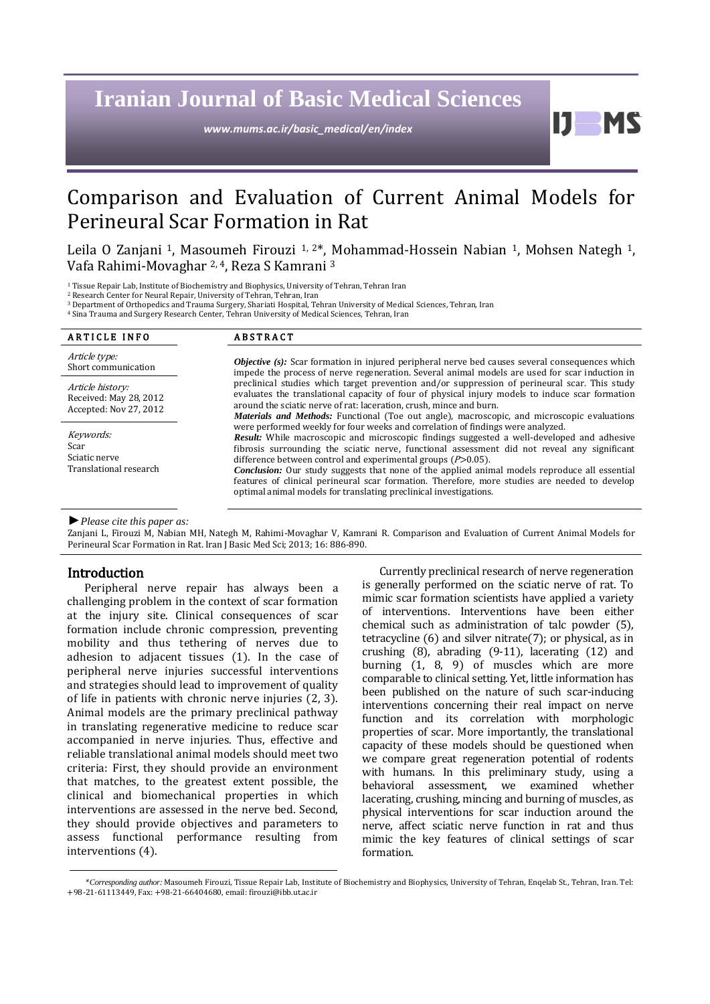# **Iranian Journal of Basic Medical Sciences**

*www.mums.ac.ir/basic\_medical/en/index*

## Comparison and Evaluation of Current Animal Models for Perineural Scar Formation in Rat

Leila O Zanjani <sup>1</sup>, Masoumeh Firouzi <sup>1, 2\*</sup>, Mohammad-Hossein Nabian <sup>1</sup>, Mohsen Nategh <sup>1</sup>, Vafa Rahimi-Movaghar 2, 4, Reza S Kamrani <sup>3</sup>

<sup>1</sup> Tissue Repair Lab, Institute of Biochemistry and Biophysics, University of Tehran, Tehran Iran

<sup>2</sup> Research Center for Neural Repair, University of Tehran, Tehran, Iran

<sup>3</sup> Department of Orthopedics and Trauma Surgery, Shariati Hospital, Tehran University of Medical Sciences, Tehran, Iran

<sup>4</sup> Sina Trauma and Surgery Research Center, Tehran University of Medical Sciences, Tehran, Iran

| <b>ARTICLE INFO</b>                                                  | <b>ABSTRACT</b>                                                                                                                                                                                                                                                                                                                                                                                                                                                                                                                                                                                                                |
|----------------------------------------------------------------------|--------------------------------------------------------------------------------------------------------------------------------------------------------------------------------------------------------------------------------------------------------------------------------------------------------------------------------------------------------------------------------------------------------------------------------------------------------------------------------------------------------------------------------------------------------------------------------------------------------------------------------|
| Article type:<br>Short communication                                 | <b>Objective</b> (s): Scar formation in injured peripheral nerve bed causes several consequences which<br>impede the process of nerve regeneration. Several animal models are used for scar induction in                                                                                                                                                                                                                                                                                                                                                                                                                       |
| Article history:<br>Received: May 28, 2012<br>Accepted: Nov 27, 2012 | preclinical studies which target prevention and/or suppression of perineural scar. This study<br>evaluates the translational capacity of four of physical injury models to induce scar formation<br>around the sciatic nerve of rat: laceration, crush, mince and burn.<br><i>Materials and Methods:</i> Functional (Toe out angle), macroscopic, and microscopic evaluations                                                                                                                                                                                                                                                  |
| Keywords:<br>Scar<br>Sciatic nerve<br>Translational research         | were performed weekly for four weeks and correlation of findings were analyzed.<br>Result: While macroscopic and microscopic findings suggested a well-developed and adhesive<br>fibrosis surrounding the sciatic nerve, functional assessment did not reveal any significant<br>difference between control and experimental groups $(P>0.05)$ .<br><b>Conclusion:</b> Our study suggests that none of the applied animal models reproduce all essential<br>features of clinical perineural scar formation. Therefore, more studies are needed to develop<br>optimal animal models for translating preclinical investigations. |

*►Please cite this paper as:*

Zanjani L, Firouzi M, Nabian MH, Nategh M, Rahimi-Movaghar V, Kamrani R. Comparison and Evaluation of Current Animal Models for Perineural Scar Formation in Rat. Iran J Basic Med Sci; 2013; 16: 886-890.

#### Introduction

Peripheral nerve repair has always been a challenging problem in the context of scar formation at the injury site. Clinical consequences of scar formation include chronic compression, preventing mobility and thus tethering of nerves due to adhesion to adjacent tissues (1). In the case of peripheral nerve injuries successful interventions and strategies should lead to improvement of quality of life in patients with chronic nerve injuries (2, 3). Animal models are the primary preclinical pathway in translating regenerative medicine to reduce scar accompanied in nerve injuries. Thus, effective and reliable translational animal models should meet two criteria: First, they should provide an environment that matches, to the greatest extent possible, the clinical and biomechanical properties in which interventions are assessed in the nerve bed. Second, they should provide objectives and parameters to assess functional performance resulting from interventions (4).

Currently preclinical research of nerve regeneration is generally performed on the sciatic nerve of rat. To mimic scar formation scientists have applied a variety of interventions. Interventions have been either chemical such as administration of talc powder (5), tetracycline (6) and silver nitrate(7); or physical, as in crushing (8), abrading (9-11), lacerating (12) and burning (1, 8, 9) of muscles which are more comparable to clinical setting. Yet, little information has been published on the nature of such scar-inducing interventions concerning their real impact on nerve function and its correlation with morphologic properties of scar. More importantly, the translational capacity of these models should be questioned when we compare great regeneration potential of rodents with humans. In this preliminary study, using a behavioral assessment, we examined whether lacerating, crushing, mincing and burning of muscles, as physical interventions for scar induction around the nerve, affect sciatic nerve function in rat and thus mimic the key features of clinical settings of scar formation.

11

<sup>\*</sup> *Corresponding author:* Masoumeh Firouzi, Tissue Repair Lab, Institute of Biochemistry and Biophysics, University of Tehran, Enqelab St., Tehran, Iran. Tel: +98-21-61113449, Fax: +98-21-66404680, email[: firouzi@ibb.ut.ac.ir](mailto:firouzi@ibb.ut.ac.ir)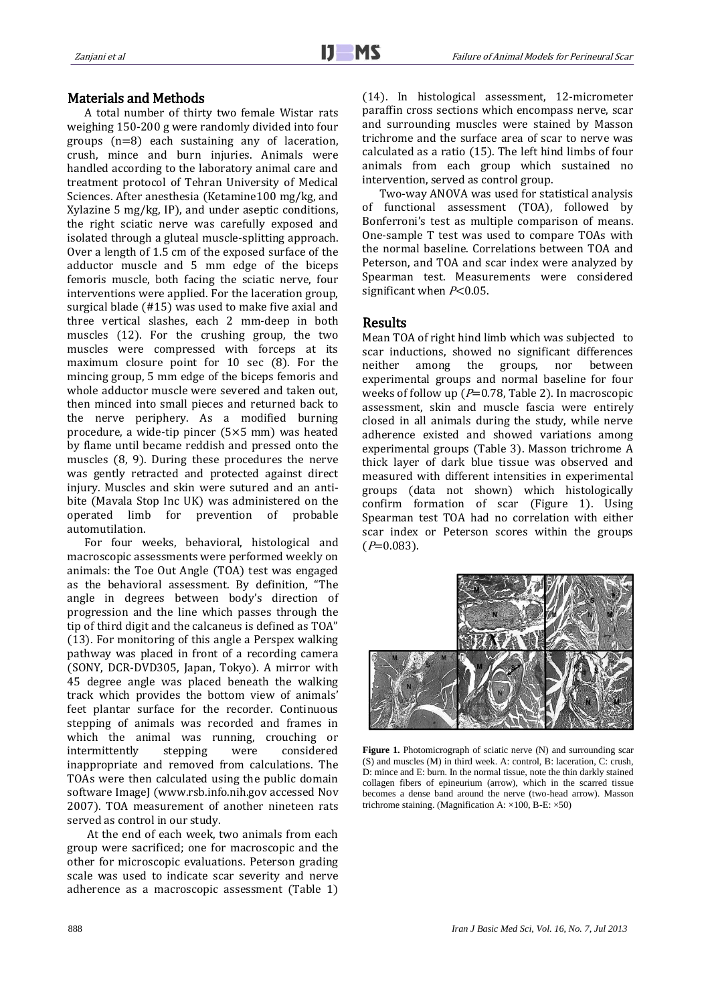#### Materials and Methods

A total number of thirty two female Wistar rats weighing 150-200 g were randomly divided into four groups (n=8) each sustaining any of laceration, crush, mince and burn injuries. Animals were handled according to the laboratory animal care and treatment protocol of Tehran University of Medical Sciences. After anesthesia (Ketamine100 mg/kg, and Xylazine 5 mg/kg, IP), and under aseptic conditions, the right sciatic nerve was carefully exposed and isolated through a gluteal muscle-splitting approach. Over a length of 1.5 cm of the exposed surface of the adductor muscle and 5 mm edge of the biceps femoris muscle, both facing the sciatic nerve, four interventions were applied. For the laceration group, surgical blade (#15) was used to make five axial and three vertical slashes, each 2 mm-deep in both muscles (12). For the crushing group, the two muscles were compressed with forceps at its maximum closure point for 10 sec (8). For the mincing group, 5 mm edge of the biceps femoris and whole adductor muscle were severed and taken out, then minced into small pieces and returned back to the nerve periphery. As a modified burning procedure, a wide-tip pincer (5×5 mm) was heated by flame until became reddish and pressed onto the muscles (8, 9). During these procedures the nerve was gently retracted and protected against direct injury. Muscles and skin were sutured and an antibite (Mavala Stop Inc UK) was administered on the operated limb for prevention of probable automutilation.

For four weeks, behavioral, histological and macroscopic assessments were performed weekly on animals: the Toe Out Angle (TOA) test was engaged as the behavioral assessment. By definition, "The angle in degrees between body's direction of progression and the line which passes through the tip of third digit and the calcaneus is defined as TOA" (13). For monitoring of this angle a Perspex walking pathway was placed in front of a recording camera (SONY, DCR-DVD305, Japan, Tokyo). A mirror with 45 degree angle was placed beneath the walking track which provides the bottom view of animals' feet plantar surface for the recorder. Continuous stepping of animals was recorded and frames in which the animal was running, crouching or intermittently stepping were considered inappropriate and removed from calculations. The TOAs were then calculated using the public domain software ImageJ [\(www.rsb.info.nih.gov](http://www.rsb.info.nih.gov/) accessed Nov 2007). TOA measurement of another nineteen rats served as control in our study.

At the end of each week, two animals from each group were sacrificed; one for macroscopic and the other for microscopic evaluations. Peterson grading scale was used to indicate scar severity and nerve adherence as a macroscopic assessment (Table 1) (14). In histological assessment, 12-micrometer paraffin cross sections which encompass nerve, scar and surrounding muscles were stained by Masson trichrome and the surface area of scar to nerve was calculated as a ratio (15). The left hind limbs of four animals from each group which sustained no intervention, served as control group.

Two-way ANOVA was used for statistical analysis of functional assessment (TOA), followed by Bonferroni's test as multiple comparison of means. One-sample T test was used to compare TOAs with the normal baseline. Correlations between TOA and Peterson, and TOA and scar index were analyzed by Spearman test. Measurements were considered significant when  $P<0.05$ .

#### Results

Mean TOA of right hind limb which was subjected to scar inductions, showed no significant differences neither among the groups, nor between experimental groups and normal baseline for four weeks of follow up ( $P=0.78$ , Table 2). In macroscopic assessment, skin and muscle fascia were entirely closed in all animals during the study, while nerve adherence existed and showed variations among experimental groups (Table 3). Masson trichrome A thick layer of dark blue tissue was observed and measured with different intensities in experimental groups (data not shown) which histologically confirm formation of scar (Figure 1). Using Spearman test TOA had no correlation with either scar index or Peterson scores within the groups  $(P=0.083)$ .



Figure 1. Photomicrograph of sciatic nerve (N) and surrounding scar (S) and muscles (M) in third week. A: control, B: laceration, C: crush, D: mince and E: burn. In the normal tissue, note the thin darkly stained collagen fibers of epineurium (arrow), which in the scarred tissue becomes a dense band around the nerve (two-head arrow). Masson trichrome staining. (Magnification A: ×100, B-E: ×50)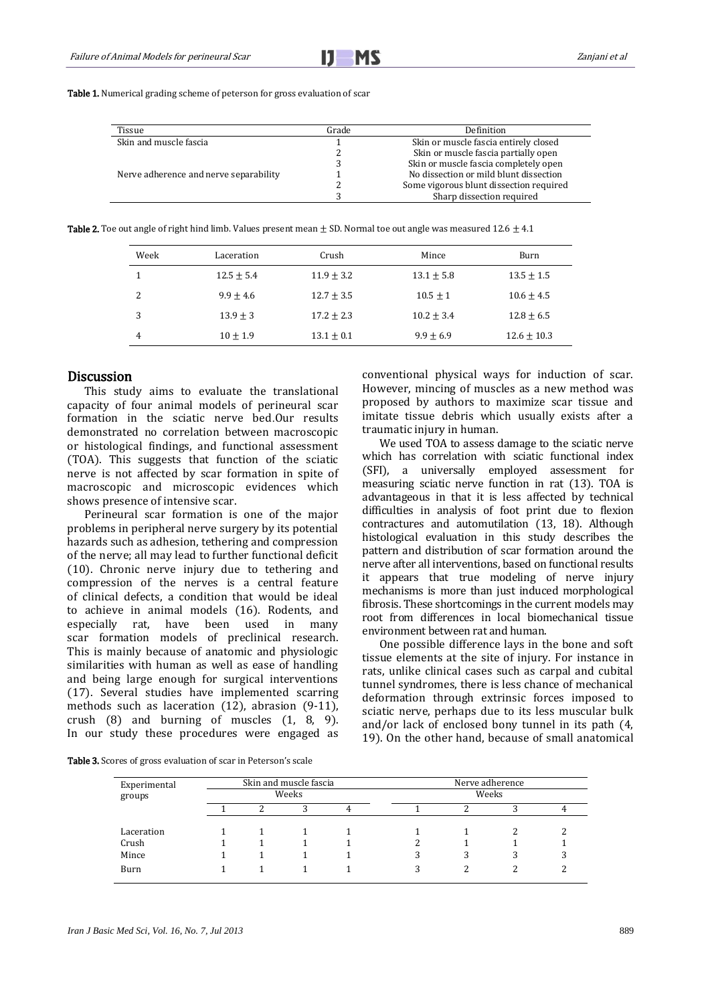Table 1. Numerical grading scheme of peterson for gross evaluation of scar

| Tissue                                 | Grade | Definition                              |
|----------------------------------------|-------|-----------------------------------------|
| Skin and muscle fascia                 |       | Skin or muscle fascia entirely closed   |
|                                        |       | Skin or muscle fascia partially open    |
|                                        |       | Skin or muscle fascia completely open   |
| Nerve adherence and nerve separability |       | No dissection or mild blunt dissection  |
|                                        |       | Some vigorous blunt dissection required |
|                                        |       | Sharp dissection required               |

**Table 2.** Toe out angle of right hind limb. Values present mean  $\pm$  SD. Normal toe out angle was measured 12.6  $\pm$  4.1

| Week | Laceration     | Crush          | Mince          | Burn            |
|------|----------------|----------------|----------------|-----------------|
|      | $12.5 \pm 5.4$ | $11.9 \pm 3.2$ | $13.1 \pm 5.8$ | $13.5 \pm 1.5$  |
| 2    | $9.9 \pm 4.6$  | $12.7 \pm 3.5$ | $10.5 \pm 1$   | $10.6 \pm 4.5$  |
| 3    | $13.9 \pm 3$   | $17.2 \pm 2.3$ | $10.2 + 3.4$   | $12.8 \pm 6.5$  |
| 4    | $10 \pm 1.9$   | $13.1 \pm 0.1$ | $9.9 + 6.9$    | $12.6 \pm 10.3$ |

#### **Discussion**

This study aims to evaluate the translational capacity of four animal models of perineural scar formation in the sciatic nerve bed.Our results demonstrated no correlation between macroscopic or histological findings, and functional assessment (TOA). This suggests that function of the sciatic nerve is not affected by scar formation in spite of macroscopic and microscopic evidences which shows presence of intensive scar.

Perineural scar formation is one of the major problems in peripheral nerve surgery by its potential hazards such as adhesion, tethering and compression of the nerve; all may lead to further functional deficit (10). Chronic nerve injury due to tethering and compression of the nerves is a central feature of clinical defects, a condition that would be ideal to achieve in animal models (16). Rodents, and especially rat, have been used in many scar formation models of preclinical research. This is mainly because of anatomic and physiologic similarities with human as well as ease of handling and being large enough for surgical interventions (17). Several studies have implemented scarring methods such as laceration (12), abrasion (9-11), crush (8) and burning of muscles (1, 8, 9). In our study these procedures were engaged as conventional physical ways for induction of scar. However, mincing of muscles as a new method was proposed by authors to maximize scar tissue and imitate tissue debris which usually exists after a traumatic injury in human.

We used TOA to assess damage to the sciatic nerve which has correlation with sciatic functional index (SFI), a universally employed assessment for measuring sciatic nerve function in rat (13). TOA is advantageous in that it is less affected by technical difficulties in analysis of foot print due to flexion contractures and automutilation (13, 18). Although histological evaluation in this study describes the pattern and distribution of scar formation around the nerve after all interventions, based on functional results it appears that true modeling of nerve injury mechanisms is more than just induced morphological fibrosis. These shortcomings in the current models may root from differences in local biomechanical tissue environment between rat and human.

One possible difference lays in the bone and soft tissue elements at the site of injury. For instance in rats, unlike clinical cases such as carpal and cubital tunnel syndromes, there is less chance of mechanical deformation through extrinsic forces imposed to sciatic nerve, perhaps due to its less muscular bulk and/or lack of enclosed bony tunnel in its path (4, 19). On the other hand, because of small anatomical

Table 3. Scores of gross evaluation of scar in Peterson's scale

| Experimental | Skin and muscle fascia |  |  |  | Nerve adherence<br>Weeks |   |  |  |
|--------------|------------------------|--|--|--|--------------------------|---|--|--|
| groups       | Weeks                  |  |  |  |                          |   |  |  |
|              |                        |  |  |  |                          |   |  |  |
| Laceration   |                        |  |  |  |                          |   |  |  |
| Crush        |                        |  |  |  |                          |   |  |  |
| Mince        |                        |  |  |  | 3                        | 3 |  |  |
| Burn         |                        |  |  |  | 3                        | ∍ |  |  |